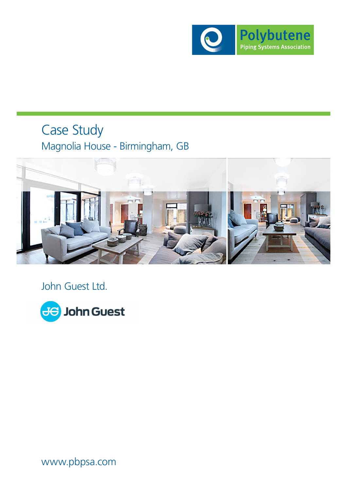

# Case Study Magnolia House - Birmingham, GB



John Guest Ltd.



www.pbpsa.com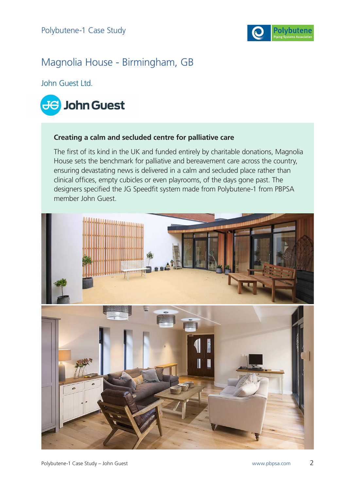

## Magnolia House - Birmingham, GB

John Guest Ltd.



#### **Creating a calm and secluded centre for palliative care**

The first of its kind in the UK and funded entirely by charitable donations, Magnolia House sets the benchmark for palliative and bereavement care across the country, ensuring devastating news is delivered in a calm and secluded place rather than clinical offices, empty cubicles or even playrooms, of the days gone past. The designers specified the JG Speedfit system made from Polybutene-1 from PBPSA member John Guest.